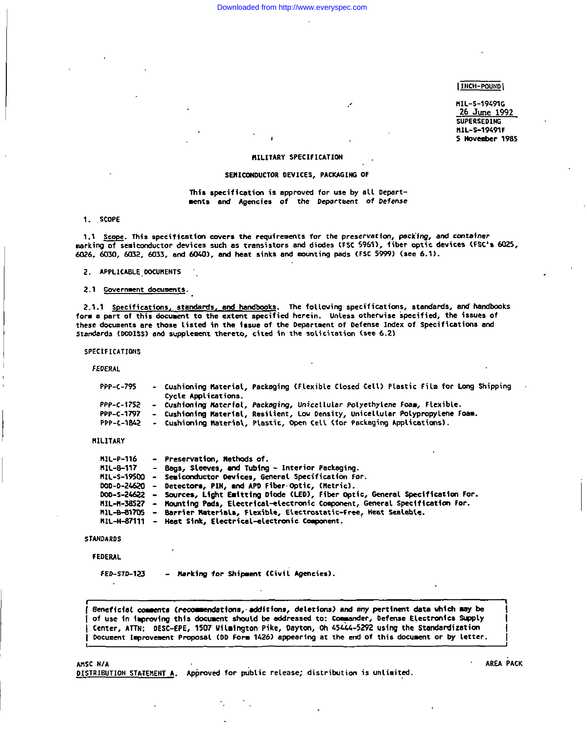### [ INCH-POUND |

MIL-S-19491G 26 June 1992 **SUPERSEDING** MIL-S-19491F 5 November 1985

### MILITARY SPECIFICATION

### SEMICONDUCTOR DEVICES, PACKAGING OF

This specification is approved for use by all Departments and Agencies of the Department of Defense

1. SCOPE

1.1 Scope. This specification covers the requirements for the preservation, packing, and container marking of semiconductor devices such as transistors and diodes (FSC 5961), fiber optic devices (FSC's 6025, 6026, 6030, 6032, 6033, and 6040), and heat sinks and mounting pads (FSC 5999) (see 6.1).

2. APPLICABLE DOCUMENTS

2.1 Government documents.

2.1.1 Specifications, standards, and handbooks. The following specifications, standards, and handbooks form a part of this document to the extent specified herein. Unless otherwise specified, the issues of these documents are those listed in the issue of the Department of Defense Index of Specifications and Standards (DODISS) and supplement thereto, cited in the solicitation (see 6.2)

**SPECIFICATIONS** 

FEDERAL

| PPP-C-795  | - Cushioning Material, Packaging (Flexible Closed Cell) Plastic Film for Long Shipping |
|------------|----------------------------------------------------------------------------------------|
|            | Cycle Applications.                                                                    |
| PPP-C-1752 | - Cushioning Material, Packaging, Unicellular Polyethylene Foam, Flexible.             |
| PPP-C-1797 | - Cushioning Material, Resilient, Low Density, Unicellular Polypropylene Foam.         |
| PPP-C-1842 | - Cushioning Material, Plastic, Open Cell (for Packaging Applications).                |

MILITARY

| MIL-P-116   | - Preservation, Methods of.                                                                |
|-------------|--------------------------------------------------------------------------------------------|
| MIL-8-117   | - Bags, Sleeves, and Tubing - Interior Packaging.                                          |
| MIL-S-19500 | - Semiconductor Devices, General Specification For.                                        |
|             | DOD-D-24620 - Detectors, PIN, and APD Fiber-Optic, (Metric).                               |
|             | DOD-S-24622 - Sources, Light Emitting Diode (LED), Fiber Optic, General Specification For. |
|             | MIL-M-38527 - Mounting Pads, Electrical-electronic Component, General Specification For.   |
|             | MIL-B-81705 - Barrier Materials, Flexible, Electrostatic-Free, Heat Sealable.              |
|             | MIL-H-87111 - Heat Sink, Electrical-electronic Component.                                  |

**STANDARDS** 

### **FEDERAL**

FED-STD-123

- Marking for Shipment (Civil Agencies).

Beneficial comments (recommendations, additions, deletions) and mny pertinent data which may be of use in improving this document should be addressed to: Commander, Defense Electronics Supply Center, ATTN: DESC-EPE, 1507 Wilmington Pike, Dayton, Oh 45444-5292 using the Standardization Document Improvement Proposal (DD Form 1426) appearing at the end of this document or by letter.

AMSC N/A

DISTRIBUTION STATEMENT A. Approved for public release; distribution is unlimited.

AREA PACK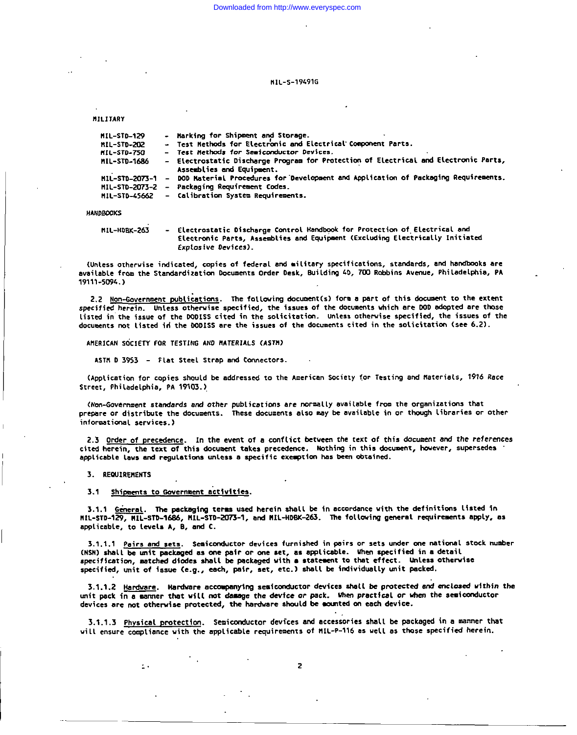H1L-S-19491G

MILITARY

| 11L-STD-129  | - Marking for Shipment and Storage.                                                                               |
|--------------|-------------------------------------------------------------------------------------------------------------------|
| 11L-STD-202  | - Test Methods for Electronic and Electrical Component Parts.                                                     |
| 11L-STD-750  | - Test Nethods for Semiconductor Devices.                                                                         |
| 11L-STD-1686 | - Electrostatic Discharge Program for Protection of Electrical and Electronic Parts,<br>Assemblies and Equipment. |
|              | MIL-STD-2073-1 - DOD Material Procedures for Development and Application of Packaging Requirements.               |
|              | HIL-STD-2073-2 - Packaging Requirement Codes.                                                                     |
|              | MIL-STD-45662 - Calibration System Requirements.                                                                  |
|              |                                                                                                                   |

**HANDBOOKS** 

MIL-HOBK-263 Electrostatic Discharge Control Handbook for Protection of Electrical and Electronic Parts, Assemblies and Equipment (Excluding Electrically Initiated Explosive Devices).

(Unless otherwise indicated, copies of federal and military specifications, standards, and handbooks are available from the Standardization Documents Order Desk, Building 40, 700 Robbins Avenue, Philadelphia, PA 19111-5094.)

2.2 Non-Government publications. The following document(s) form a part of this document to the extent specified herein. Unless otherwise specified, the issues of the documents which are DOD adopted are those listed in the issue of the DODISS cited in the solicitation. Unless otherwise specified, the issues of the documents not listed in the DODISS are the issues of the documents cited in the solicitation (see 6.2).

AMERICAN SOCIETY FOR TESTING AND MATERIALS (ASTM)

ASTM D 3953 - Flat Steel Strap and Connectors.

(Application for copies should be addressed to the American Society for Testing and Materials, 1916 Race Street, Philadelphia, PA 19103.)

(Non-Government standards and other publications are normally available from the organizations that prepare or distribute the documents. These documents also may be available in or though libraries or other informational services.)

2.3 Order of precedence. In the event of a conflict between the text of this document and the references cited herein, the text of this document takes precedence. Nothing in this document, however, supersedes applicable laws and regulations unless a specific exemption has been obtained.

3. REQUIREMENTS

#### Shipments to Government activities.  $3.1$

 $\sim$ 

3.1.1 General. The packaging terms used herein shall be in accordance with the definitions listed in MIL-STD-129, MIL-STD-1686, MIL-STD-2073-1, and MIL-HDBK-263. The following general requirements apply, as applicable, to levels A, B, and C.

3.1.1.1 Pairs and sets. Semiconductor devices furnished in pairs or sets under one national stock number (NSM) shall be unit packaged as one pair or one set, as applicable. When specified in a detail specification, matched diodes shall be packaged with a statement to that effect. Unless otherwise specified, unit of issue (e.g., each, pair, set, etc.) shall be individually unit packed.

3.1.1.2 Hardware. Hardware accompanying semiconductor devices shall be protected and enclosed within the unit pack in a sammer that will not damage the device or pack. When practical or when the semiconductor devices are not otherwise protected, the hardware should be mounted on each device.

3.1.1.3 Physical protection. Semiconductor devices and accessories shall be packaged in a manner that will ensure compliance with the applicable requirements of MIL-P-116 as well as those specified herein.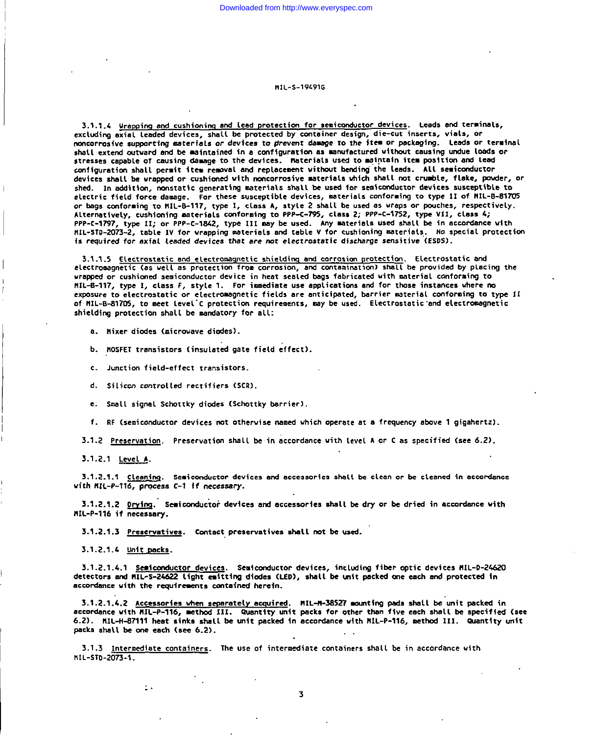#### **MTI-S-194916**

3.1.1.4 Urapping and cushioning and lead protection for semiconductor devices. Leads and terminals, excluding axial leaded devices, shall be protected by container design, die-cut inserts, vials, or noncorrosive supporting saterials or devices to prevent damage to the item or packaging. Leads or terminal shall extend outward and be maintained in a configuration as manufactured without causing undue loads or stresses capable of causing damage to the devices. Materials used to maintain item position and lead configuration shall permit item removal and replacement without bending the leads. All semiconductor devices shall be wrapped or cushioned with noncorrosive materials which shall not crumble, flake, powder, or shed. In addition, nonstatic generating materials shall be used for semiconductor devices susceptible to electric field force damage. For these susceptible devices, materials conforming to type II of HIL-B-81705 or bags conforming to HIL-B-117, type I, class A, style 2 shall be used as wraps or pouches, respectively. Alternatively, cushioning materials conforming to PPP-C-795, class 2; PPP-C-1752, type VII, class 4; PPP-C-1797, type II; or PPP-C-1842, type III may be used. Any materials used shall be in accordance with MIL-STD-2073-2, table IV for wrapping materials and table V for cushioning materials. No special protection is required for axial leaded devices that are not electrostatic discharge sensitive (ESDS).

3.1.1.5 Electrostatic and electromagnetic shielding and corrosion protection. Electrostatic and electromagnetic (as well as protection from corrosion, and contamination) shall be provided by placing the wrapped or cushioned semiconductor device in heat sealed bags fabricated with material conforming to MIL-B-117, type I, class F, style 1. For immediate use applications and for those instances where no exposure to electrostatic or electromagnetic fields are anticipated, barrier material conforming to type II of MIL-B-81705, to meet level'C protection requirements, may be used. Electrostatic and electromagnetic shielding protection shall be mandatory for all:

a. Hixer diodes (microwave diodes).

b. MOSFET transistors (insulated gate field effect).

- c. Junction field-effect transistors.
- d. Silicon controlled rectifiers (SCR).
- e. Small signal Schottky diodes (Schottky barrier).

f. RF (semiconductor devices not otherwise named which operate at a frequency above 1 gigahertz).

3.1.2 Preservation. Preservation shall be in accordance with level A or C as specified (see 6.2).

 $3.1.2.1$  Level A.

3.1.2.1.1 Cleaning. Semiconductor devices and accessories shall be clean or be cleaned in accordance with NIL-P-116, process C-1 if necessary.

3.1.2.1.2 Drying. Semiconductor devices and accessories shall be dry or be dried in accordance with MIL-P-116 if necessary.

3.1.2.1.3 Preservatives. Contact preservatives shall not be used.

3.1.2.1.4 Unit packs.

 $\ddot{\phantom{1}}$ .

3.1.2.1.4.1 Semiconductor devices. Semiconductor devices, including fiber optic devices MIL-D-24620 detectors and MIL-S-24622 light emitting diodes (LED), shall be unit packed one each and protected in accordance with the requirements contained herein.

3.1.2.1.4.2 Accessories when separately acquired. MIL-M-38527 mounting pads shall be unit packed in accordance with HIL-P-116, method III. Quantity unit packs for other than five each shall be specified (see 6.2). MIL-H-87111 heat sinks shall be unit packed in accordance with MIL-P-116, method III. Quantity unit packs shall be one each (see 6.2).

3.1.3 Intermediate containers. The use of intermediate containers shall be in accordance with MIL-STD-2073-1.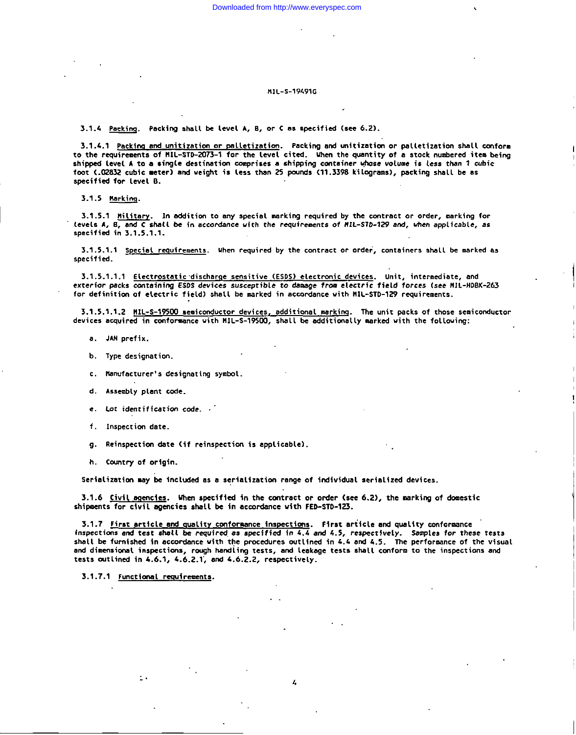### H1L-S-19491G

3.1.4 Packing. Packing shall be level A, B, or C as specified (see 6.2).

3.1.4.1 Packing and unitization or palletization. Packing and unitization or palletization shall conform to the requirements of MIL-STD-2073-1 for the level cited. When the quantity of a stock numbered item being shipped level A to a single destination comprises a shipping container whose volume is less than 1 cubic foot (.02832 cubic meter) and weight is less than 25 pounds (11.3398 kilograms), packing shall be as specified for Level B.

3.1.5 Marking.

3.1.5.1 Military. In addition to any special marking required by the contract or order, marking for tevels A, B, and C shall be in accordance with the requirements of MIL-STD-129 and, when applicable, as specified in 3.1.5.1.1.

3.1.5.1.1 Special requirements. When required by the contract or order, containers shall be marked as specified.

3.1.5.1.1.1 Electrostatic discharge sensitive (ESDS) electronic devices. Unit, intermediate, and exterior packs containing ESDS devices susceptible to damage from electric field forces (see MIL-HDBK-263 for definition of electric field) shall be marked in accordance with MIL-STD-129 requirements.

3.1.5.1.1.2 MIL-S-19500 semiconductor devices, additional marking. The unit packs of those semiconductor devices acquired in conformance with MIL-S-19500, shall be additionally marked with the following:

- a. JAN prefix.
- b. Type designation.
- c. Manufacturer's designating symbol.
- d. Assembly plant code.
- e. Lot identification code.
- f. Inspection date.
- g. Reinspection date (if reinspection is applicable).
- h. Country of origin.

Serialization may be included as a serialization range of individual serialized devices.

3.1.6 Civil agencies. When specified in the contract or order (see 6.2), the marking of domestic shipments for civil agencies shall be in accordance with FED-STD-123.

3.1.7 First article and quality conformance inspections. First article and quality conformance inspections and test shall be required as specified in 4.4 and 4.5, respectively. Samples for these tests shall be furnished in accordance with the procedures outlined in 4.4 and 4.5. The performance of the visual and dimensional inspections, rough handling tests, and leakage tests shall conform to the inspections and tests outlined in 4.6.1, 4.6.2.1, and 4.6.2.2, respectively.

3.1.7.1 Functional requirements.

 $\mathbf{L}$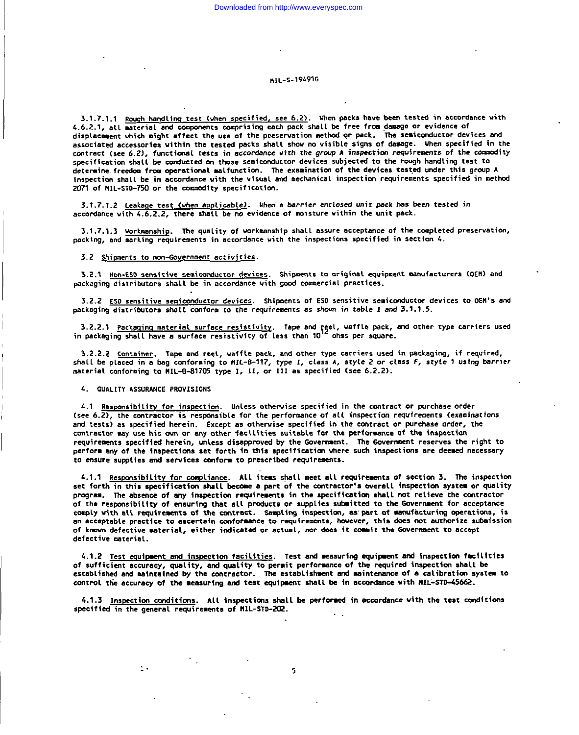## MIL-S-194916

3.1.7.1.1 Rough handling test (when specified, see 6.2). When packs have been tested in accordance with 4.6.2.1, all material and components comprising each pack shall be free from damage or evidence of displacement which might affect the use of the preservation method or pack. The semiconductor devices and associated accessories within the tested packs shall show no visible signs of damage. When specified in the contract (see 6.2), functional tests in accordance with the group A inspection requirements of the commodity specification shall be conducted on those semiconductor devices subjected to the rough handling test to determine freedom from operational malfunction. The examination of the devices tested under this group A inspection shall be in accordance with the visual and mechanical inspection requirements specified in method 2071 of MIL-STD-750 or the commodity specification.

3.1.7.1.2 Leakage test (when applicable). When a barrier enclosed unit pack has been tested in accordance with 4.6.2.2, there shall be no evidence of moisture within the unit pack.

3.1.7.1.3 Workmanship. The quality of workmanship shall assure acceptance of the completed preservation, packing, and marking requirements in accordance with the inspections specified in section 4.

### 3.2 Shipments to non-Government activities.

3.2.1 Non-ESD sensitive semiconductor devices. Shipments to original equipment manufacturers (OEM) and packaging distributors shall be in accordance with good commercial practices.

3.2.2 ESD sensitive semiconductor devices. Shipments of ESD sensitive semiconductor devices to OEM's and packaging distributors shall conform to the requirements as shown in table I and 3.1.1.5.

3.2.2.1 <u>Packaging material surface resistivity</u>. Tape and reel, waffle pack, and other type carriers used in packaging shall have a surface resistivity of less than  $10^{12}$  ohms per square.

3.2.2.2 Container. Tape and reel, waffle pack, and other type carriers used in packaging, if required, shall be placed in a bag conforming to MIL-8-117, type I, class A, style 2 or class F, style 1 using barrier material conforming to MIL-8-81705 type I, II, or III as specified (see 6.2.2).

4. QUALITY ASSURANCE PROVISIONS

 $\mathbf{I}$ .

4.1 Responsibility for inspection. Unless otherwise specified in the contract or purchase order (see 6.2), the contractor is responsible for the performance of all inspection requirements (examinations and tests) as specified herein. Except as otherwise specified in the contract or purchase order, the contractor may use his own or any other facilities suitable for the performance of the inspection requirements specified herein, unless disapproved by the Government. The Government reserves the right to perform any of the inspections set forth in this specification where such inspections are deemed necessary to ensure supplies and services conform to prescribed requirements.

4.1.1 Responsibility for compliance. All items shall meet all requirements of section 3. The inspection set forth in this specification shall become a part of the contractor's overall inspection system or quality program. The absence of any inspection requirements in the specification shall not relieve the contractor of the responsibility of ensuring that all products or supplies submitted to the Government for acceptance comply with all requirements of the contract. Sampling inspection, as part of manufacturing operations, is an acceptable practice to ascertain conformance to requirements, however, this does not authorize submission of known defective material, either indicated or actual, nor does it commit the Government to accept defective material.

4.1.2 Test equipment and inspection facilities. Test and measuring equipment and inspection facilities of sufficient accuracy, quality, and quality to permit performance of the required inspection shall be established and maintained by the contractor. The establishment and maintenance of a calibration system to control the accuracy of the measuring and test equipment shall be in accordance with MIL-STD-45662.

4.1.3 Inspection conditions. All inspections shall be performed in accordance with the test conditions specified in the general requirements of MIL-STD-202.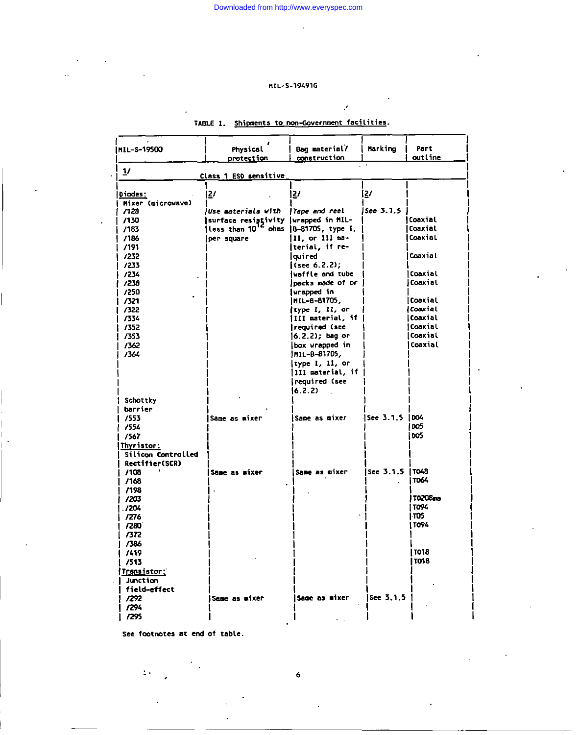### MIL-S-19491G

| MIL-S-19500                  | Physical<br>protection                                                                     | Bag material/<br>construction | Marking          | Part<br>outline       |
|------------------------------|--------------------------------------------------------------------------------------------|-------------------------------|------------------|-----------------------|
| 1/                           | Class 1 ESD sensitive                                                                      |                               |                  |                       |
|                              |                                                                                            |                               |                  |                       |
| Diodes:<br>Mixer (microwave) | 21                                                                                         | 127                           | 2/               |                       |
| /128                         | luse materials with                                                                        | Tape and reel                 | See 3.1.5        |                       |
| /130                         |                                                                                            |                               |                  | <b>I Coaxial</b>      |
| /183                         | surface resistivity  urapped in MIL-<br> less than 10 <sup>12</sup> ohms  B-81705, type I, |                               |                  | Coaxial               |
| /186                         | per square                                                                                 | 11, or 111 ma-                |                  | Coaxial               |
| /191                         |                                                                                            | terial, if re-                |                  |                       |
| 1232                         |                                                                                            | lguired                       |                  | Coaxial               |
| /233                         |                                                                                            | (see 6.2.2);                  |                  |                       |
| /234                         |                                                                                            | waffle and tube               |                  | Coaxial               |
| /238                         |                                                                                            | packs made of or ,            |                  | iCoaxial              |
| /250                         |                                                                                            | wrapped in                    |                  |                       |
| 7321                         |                                                                                            | MIL-8-81705,                  |                  | Coaxial               |
| 7322                         |                                                                                            | type I, II, or                |                  | <i><b>Coaxial</b></i> |
| 7334                         |                                                                                            | III material, if              |                  | Coaxial               |
| /352                         |                                                                                            | required (see                 |                  | Coaxial               |
| 7353                         |                                                                                            | 16.2.2); bag or               |                  | Coaxial               |
| /362                         |                                                                                            | box wrapped in                |                  | Coaxial               |
| /364                         |                                                                                            | IHIL-B-81705,                 |                  |                       |
|                              |                                                                                            | type I, II, or                |                  |                       |
|                              |                                                                                            | III material, if              |                  |                       |
|                              |                                                                                            | required (see                 |                  |                       |
|                              |                                                                                            | 16.2.2)<br>$\sim$             |                  |                       |
| Schottky                     |                                                                                            |                               |                  |                       |
| barrier                      |                                                                                            |                               |                  |                       |
| 7553                         | Same as mixer                                                                              | Same as mixer                 | See 3.1.5   DO4  |                       |
| /554                         |                                                                                            |                               |                  | J DOS                 |
| /567                         |                                                                                            |                               |                  | l oos                 |
| Thyristor:                   |                                                                                            |                               |                  |                       |
| Silicon Controlled           |                                                                                            |                               |                  |                       |
| Rectifier(SCR)               |                                                                                            |                               |                  |                       |
| /108                         | Same as wixer                                                                              | Same as mixer                 | See 3.1.5   TO48 |                       |
| /168                         |                                                                                            |                               |                  | I TO64                |
| /198                         |                                                                                            |                               |                  |                       |
| /203                         |                                                                                            |                               |                  | T0208ma               |
| .7204                        |                                                                                            |                               |                  | í TO94                |
| -7276                        |                                                                                            |                               |                  | 305 ו                 |
| /280                         |                                                                                            |                               |                  | 1 TO94                |
| -7372                        |                                                                                            |                               |                  |                       |
| - 7386                       |                                                                                            |                               |                  |                       |
| /419                         |                                                                                            |                               |                  | 11018                 |
| /513                         |                                                                                            |                               |                  | I TO18                |
| Transistor:                  |                                                                                            |                               |                  |                       |
| Junction                     |                                                                                            |                               |                  |                       |
| field-effect                 |                                                                                            |                               |                  |                       |
| /292                         | Same as mixer                                                                              | Same as mixer                 | $ $ See 3.1.5    |                       |
| /294                         |                                                                                            |                               |                  |                       |
| /295                         |                                                                                            |                               |                  |                       |
|                              |                                                                                            |                               |                  |                       |

## TABLE I. Shipments to non-Government facilities.

 $\mathcal{S}^{\mathcal{S}}$ 

See footnotes at end of table.

 $\ddot{\zeta}$  .

 $\ddot{\mathbf{6}}$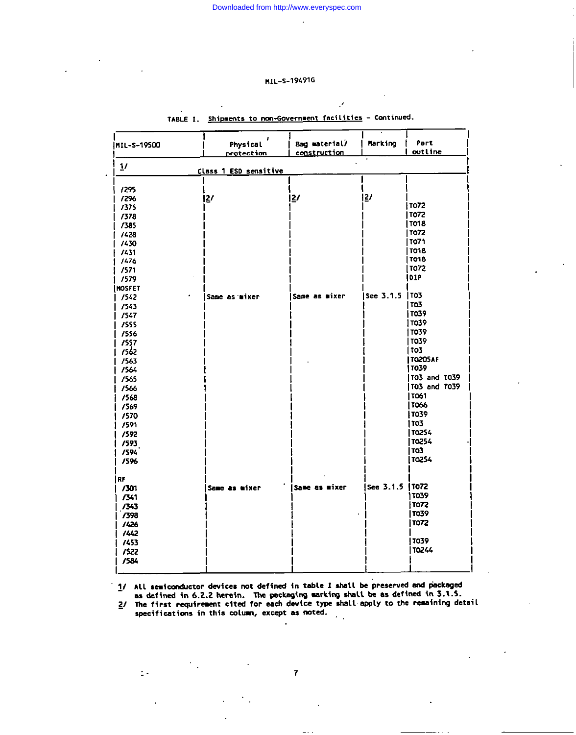l.

## MIL-S-19491G

| MIL-S-19500   | Physical<br><u>protection</u> | Bag material/<br>construction | Marking          | Part<br>outline |
|---------------|-------------------------------|-------------------------------|------------------|-----------------|
| 1/            | Class 1 ESD sensitive         |                               |                  |                 |
| /295          |                               |                               |                  |                 |
| /296          | $\mathbf{E}'$                 | $\mathbf{E}$                  | <u> 2</u>        |                 |
| /375          |                               |                               |                  | TO72            |
| /378          |                               |                               |                  | 1 то72          |
| /385          |                               |                               |                  | TO18            |
| 7428          |                               |                               |                  | 1 TO72          |
| 7430          |                               |                               |                  | TO71            |
| /431          |                               |                               |                  | TO18            |
| /476          |                               |                               |                  | 1018            |
| 7571          |                               |                               |                  | TO72            |
| 1579          |                               |                               |                  | 10 I P          |
| <b>MOSFET</b> |                               |                               |                  |                 |
| 1542          | <b>Same as mixer</b>          | Same as mixer                 | See 3.1.5   TO3  |                 |
| 7543          |                               |                               |                  | <b>TO3</b>      |
| 1547          |                               |                               |                  | 11039           |
| /555          |                               |                               |                  | 11039           |
| /556          |                               |                               |                  | 11039           |
| 7557          |                               |                               |                  | 1039            |
| 1 1562        |                               |                               |                  | TO3             |
| /563          |                               |                               |                  | T0205AF         |
| 1564          |                               |                               |                  | 11039           |
| 7565          |                               |                               |                  | T03 and T039    |
| /566          |                               |                               |                  | TO3 and TO39    |
| /568          |                               |                               |                  | TO61            |
| /569          |                               |                               |                  | TO66            |
| /570          |                               |                               |                  | TO39            |
| /591          |                               |                               |                  | 1103.           |
| /592          |                               |                               |                  | TO254           |
| /593          |                               |                               |                  | TO254           |
| /594          |                               |                               |                  | TO3             |
| /596          |                               |                               |                  | 1 TO2S4         |
| 1 RF          |                               |                               |                  |                 |
| 7301          | Same as mixer                 | Same as mixer                 | See 3.1.5   TO72 |                 |
| 7341          |                               |                               |                  | 1 тозя          |
| /343          |                               |                               |                  | TO72            |
| /398          |                               |                               |                  | 1039            |
| /426          |                               |                               |                  | TO72            |
| 1442          |                               |                               |                  |                 |
| 7453          |                               |                               |                  | l TO39          |
| /522          |                               |                               |                  | T0244           |
| /584          |                               |                               |                  |                 |
|               |                               |                               |                  |                 |

## TABLE I. Shipments to non-Government facilities - Continued.

×

1/ All semiconductor devices not defined in table I shall be preserved and packaged as defined in 6.2.2 herein. The packaging warking shall be as defined in 3.1.5.

2/ The first requirement cited for each device type shall apply to the remaining detail specifications in this column, except as noted.

 $\mathbb{E}[\cdot]$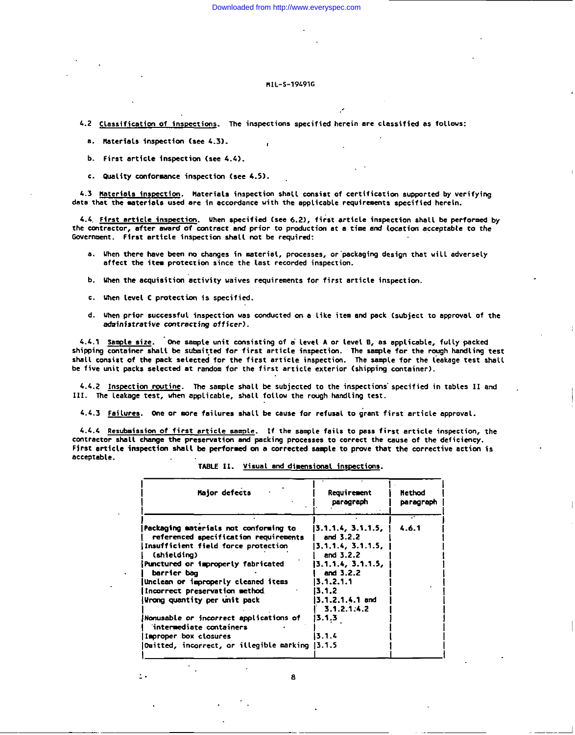### HIL-S-19491G

- 4.2 Classification of inspections. The inspections specified herein are classified as follows:
	- a. Materials inspection (see 4.3).
	- b. First article inspection (see 4.4).
	- c. Quality conformance inspection (see 4.5).

4.3 Materials inspection. Materials inspection shall consist of certification supported by verifying data that the materials used are in accordance with the applicable requirements specified herein.

4.4 First article inspection. When specified (see 6.2), first article inspection shall be performed by the contractor, after award of contract and prior to production at a time and location acceptable to the Government. First article inspection shall not be required:

- a. When there have been no changes in material, processes, or packaging design that will adversely affect the item protection since the last recorded inspection.
- b. When the acquisition activity waives requirements for first article inspection.
- c. When level C protection is specified.
- d. When prior successful inspection was conducted on a like item and pack (subject to approval of the administrative contracting officer).

4.4.1 Sample size. One sample unit consisting of a level A or level B, as applicable, fully packed shipping container shall be submitted for first article inspection. The sample for the rough handling test shall consist of the pack selected for the first article inspection. The sample for the leakage test shall be five unit packs selected at random for the first article exterior (shipping container).

4.4.2 Inspection routine. The sample shall be subjected to the inspections specified in tables II and III. The leakage test, when applicable, shall follow the rough handling test.

4.4.3 Failures. One or more failures shall be cause for refusal to grant first article approval.

4.4.4 Resubmission of first article sample. If the sample fails to pass first article inspection, the contractor shall change the preservation and packing processes to correct the cause of the deficiency. First article inspection shall be performed on a corrected sample to prove that the corrective action is acceptable.

| Packaging materials not conforming to<br> 3.1.1.4, 3.1.1.5,  <br>-4.6.1<br>and $3.2.2$<br>referenced specification requirements<br>Insufficient field force protection<br> 3.1.1.4, 3.1.1.5,<br>and 3.2.2<br>(shielding)<br>[3.1.1.4, 3.1.1.5]<br>Punctured or improperly fabricated<br>and 3.2.2<br>barrier bag<br>13.1.2.1.1<br>Unclean or improperly cleaned items<br>Incorrect preservation method<br>13.1.2<br>Wrong quantity per unit pack<br>13.1.2.1.4.1 and<br>3.1.2.1:4.2<br>13.1.3<br>Nonusable or incorrect applications of<br>intermediate containers<br>3.1.4<br>Improper box closures<br>Omitted, incorrect, or illegible marking 13.1.5 | Major defects | Requirement<br>paragraph | <b>Nethod</b><br>paragraph |
|---------------------------------------------------------------------------------------------------------------------------------------------------------------------------------------------------------------------------------------------------------------------------------------------------------------------------------------------------------------------------------------------------------------------------------------------------------------------------------------------------------------------------------------------------------------------------------------------------------------------------------------------------------|---------------|--------------------------|----------------------------|
|                                                                                                                                                                                                                                                                                                                                                                                                                                                                                                                                                                                                                                                         |               |                          |                            |
|                                                                                                                                                                                                                                                                                                                                                                                                                                                                                                                                                                                                                                                         |               |                          |                            |
|                                                                                                                                                                                                                                                                                                                                                                                                                                                                                                                                                                                                                                                         |               |                          |                            |
|                                                                                                                                                                                                                                                                                                                                                                                                                                                                                                                                                                                                                                                         |               |                          |                            |
|                                                                                                                                                                                                                                                                                                                                                                                                                                                                                                                                                                                                                                                         |               |                          |                            |
|                                                                                                                                                                                                                                                                                                                                                                                                                                                                                                                                                                                                                                                         |               |                          |                            |
|                                                                                                                                                                                                                                                                                                                                                                                                                                                                                                                                                                                                                                                         |               |                          |                            |
|                                                                                                                                                                                                                                                                                                                                                                                                                                                                                                                                                                                                                                                         |               |                          |                            |
|                                                                                                                                                                                                                                                                                                                                                                                                                                                                                                                                                                                                                                                         |               |                          |                            |

TABLE II. Visual and dimensional inspections.

a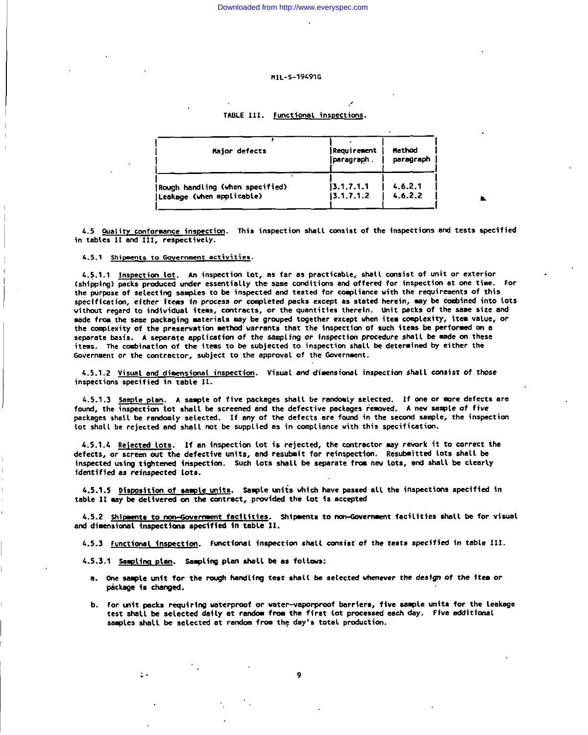### MTL-S-194916

### TABLE III. Functional inspections.

| Major defects                   | Requirement<br> paragraph . | <b>Method</b><br>paragraph |
|---------------------------------|-----------------------------|----------------------------|
| Rough handling (when specified) | 13.1, 7.1.1                 | 4.6.2.1                    |
| (Leakage (when applicable)      | 13.1.7.1.2                  | 4.6.2.2                    |

4.5 Quality conformance inspection. This inspection shall consist of the inspections and tests specified in tables II and III, respectively.

4.5.1 Shipments to Government activities.

4.5.1.1 Inspection Lot. An inspection lot, as far as practicable, shall consist of unit or exterior (shipping) packs produced under essentially the same conditions and offered for inspection at one time. For the purpose of selecting samples to be inspected and tested for compliance with the requirements of this specification, either items in process or completed packs except as stated herein, may be combined into lots without regard to individual items, contracts, or the quantities therein. Unit packs of the same size and made from the same packaging materials may be grouped together except when item complexity, item value, or the complexity of the preservation method varrants that the inspection of such items be performed on a separate basis. A separate application of the sampling or inspection procedure shall be made on these items. The combination of the items to be subjected to inspection shall be determined by either the Government or the contractor, subject to the approval of the Government.

4.5.1.2 Visual and dimensional inspection. Visual and dimensional inspection shall consist of those inspections specified in table II.

4.5.1.3 Sample plan. A sample of five packages shall be randomly selected. If one or more defects are found, the inspection lot shall be screened and the defective packages removed. A new sample of five packages shall be randomly selected. If any of the defects are found in the second sample, the inspection lot shall be rejected and shall not be supplied as in compliance with this specification.

4.5.1.4 Rejected lots. If an inspection lot is rejected, the contractor may rework it to correct the defects, or screen out the defective units, and resubmit for reinspection. Resubmitted lots shall be inspected using tightened inspection. Such lots shall be separate from new lots, and shall be clearly identified as reinspected lots.

4.5.1.5 Disposition of sample units. Sample units which have passed all the inspections specified in table II may be delivered on the contract, provided the lot is accepted

4.5.2 Shipments to non-Government facilities. Shipments to non-Government facilities shall be for visual and dimensional inspections specified in table II.

4.5.3 Functional inspection. Functional inspection shall consist of the tests specified in table III.

4.5.3.1 Sampling plan. Sampling plan shall be as follows:

- a. One sample unit for the rough handling test shall be selected whenever the design of the item or package is changed.
- b. For unit packs requiring waterproof or water-vaporproof barriers, five sample units for the leakage test shall be selected daily at random from the first lot processed each day. Five additional samples shall be selected at random from the day's total production.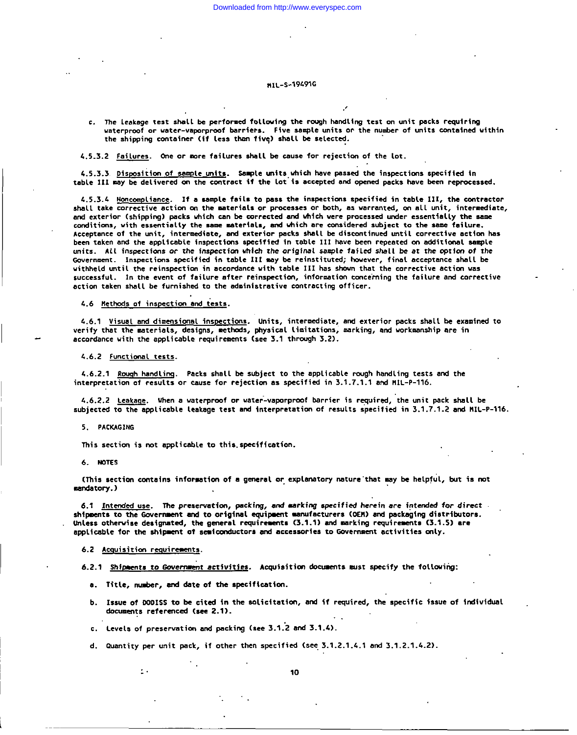### HTI-S-19491G

c. The leakage test shall be performed following the rough handling test on unit packs requiring waterproof or water-vaporproof barriers. Five sample units or the number of units contained within the shipping container (if less than five) shall be selected.

4.5.3.2 Failures. One or more failures shall be cause for rejection of the lot.

4.5.3.3 Disposition of sample units. Sample units which have passed the inspections specified in table III may be delivered on the contract if the lot is accepted and opened packs have been reprocessed.

4.5.3.4 Moncompliance. If a sample fails to pass the inspections specified in table III, the contractor shall take corrective action on the materials or processes or both, as warranted, on all unit, intermediate, and exterior (shipping) packs which can be corrected and which were processed under essentially the same conditions, with essentially the same materials, and which are considered subject to the same failure. Acceptance of the unit, intermediate, and exterior packs shall be discontinued until corrective action has been taken and the applicable inspections specified in table III have been repeated on additional sample units. All inspections or the inspection which the original sample failed shall be at the option of the Government. Inspections specified in table III may be reinstituted; however, final acceptance shall be withheld until the reinspection in accordance with table III has shown that the corrective action was successful. In the event of failure after reinspection, information concerning the failure and corrective action taken shall be furnished to the administrative contracting officer.

4.6 Nethods of inspection and tests.

4.6.1 Visual and dimensional inspections. Units, intermediate, and exterior packs shall be examined to verify that the materials, designs, methods, physical limitations, marking, and workmanship are in accordance with the applicable requirements (see 3.1 through 3.2).

4.6.2 Functional tests.

4.6.2.1 Rough handling. Packs shall be subject to the applicable rough handling tests and the interpretation of results or cause for rejection as specified in 3.1.7.1.1 and MIL-P-116.

4.6.2.2 Leakage. When a waterproof or water-vaporproof barrier is required, the unit pack shall be subjected to the applicable leakage test and interpretation of results specified in 3.1.7.1.2 and MIL-P-116.

5. PACKAGING

This section is not applicable to this specification.

6 NOTES

(This section contains information of a general or explanatory nature that may be helpful, but is not mandatory.)

6.1 Intended use. The preservation, packing, and marking specified herein are intended for direct. shipments to the Government and to original equipment manufacturers (OEN) and packaging distributors. Unless otherwise designated, the general requirements (3.1.1) and marking requirements (3.1.5) are applicable for the shipment of semiconductors and accessories to Government activities only.

6.2 Acquisition requirements.

 $\mathbf{r}$ .

6.2.1 Shipments to Government activities. Acquisition documents must specify the following:

- a. Title, number, and date of the specification.
- b. Issue of DODISS to be cited in the solicitation, and if required, the specific issue of individual documents referenced (see 2.1).
- c. Levels of preservation and packing (see 3.1.2 and 3.1.4).
- d. Quantity per unit pack, if other then specified (see 3.1.2.1.4.1 and 3.1.2.1.4.2).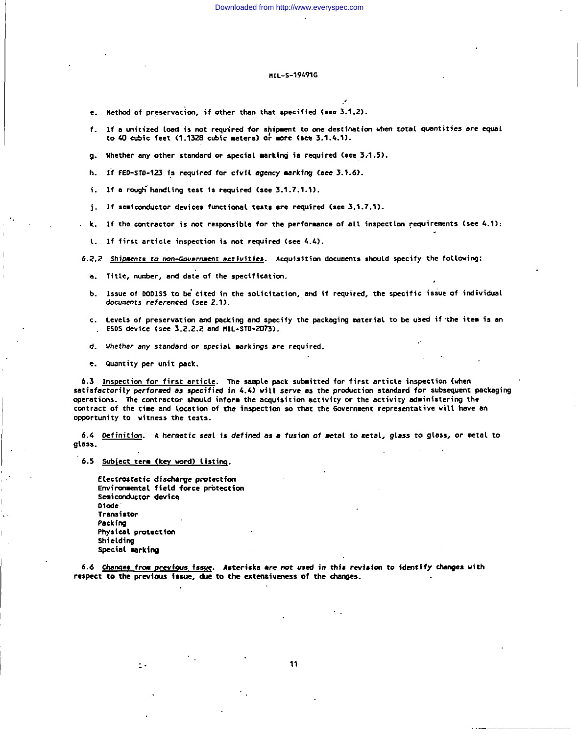### **HrL-s-19@lG**

,,

- $e$ . Method of preservation, if other than that specified (see 3.1.2).
- **f. If a unit{zcd lmd is mt required for s~i~t to one destination \* total quantities are equal to 40 cubic feet (1.1328 cubic meters) or mre (ses 3.1.4.1).**
- **g. Uhether my other standard m special Mrkinj ~s required (sce,3 ,1.5).**
- **h. lf FEC-STO-123 i? required for civil agency nrkf~ <see 3.1.6).**
- **i. If a r.aqh"h.mdling test fs required (see 3.1.7 .l.1).**
- **j. If .e.~cmductor dev~ces fmctiaml tests are requ~red (see 3.1.7.1).**
- **k. If the cmtractor is not respmsible for rhe performance of all i.spectim requirements (see 4.1),**
- **1. If first article inspection is not required (see 4.4).**
- **6.2.2 Shi menrs to mn-mvern.aenr activities. Acquisitim documents should specify the follcming:**
	- **a.** Title,  $\mathsf{number}_{\ell}$  and date of the specification.
	- b. Issue of DODISS to be cited in the solicitation, and if required, the specific issue of individu **de.wuents referenced (see 2.1).**
	- c. Levels of preservation and packing and specify the packaging material to be used if the item is an **ESOS device (see 3.2.2.2 and I!lL-STD-ZQ?3).**
	- **d. Uhether my standard or special mrkings me required.**
	- ●**. Gumtity per mit psc.k.**

.,

I

i

**6.3** <u>Inspection for first article</u>. The sample pack submitted for first article inspection (whe **satisfactorily** *mrforred* **as smcificd in 4.4) will serve as the mcductim standard for subsequent packaging operations. "fie contractor shld inform the acquisition activity or the activity administering the** contract of the time and tocation of the inspection so that the Government representative will have an **OPPWt.nitY to witness the teats.**

6.4 Definition. A hermetic seal is defined as a fusion of metal to metal, glass to glass, or metal to **glass.**

**6.5 Wbiect tera (key wrd) listing.**

**,'. Electmstetfc dfschsqe Pmtectfm Environmental field force protection semiconductor device Diode Transistor Peckiq Physical protection Shielding Special mrking**

**6.6 Cham7eS from Prevlms fssue. Asterisks** ●**.-s nor ussd in thfs Pewisim to identify cbnges with respsct to ths previws i8sue, &s to ths extsnsfvsness of the chsngea.**